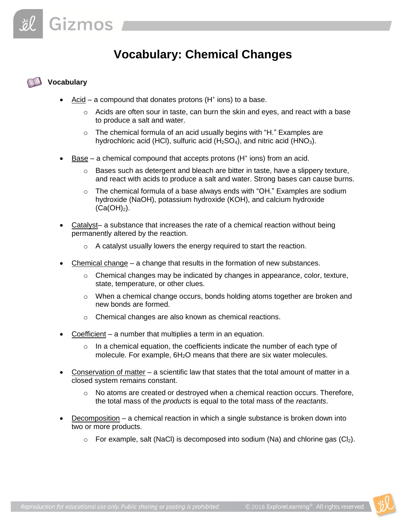## **Vocabulary: Chemical Changes**

## **Vocabulary**

- Acid a compound that donates protons ( $H^+$  ions) to a base.
	- $\circ$  Acids are often sour in taste, can burn the skin and eyes, and react with a base to produce a salt and water.
	- o The chemical formula of an acid usually begins with "H." Examples are hydrochloric acid (HCl), sulfuric acid (H<sub>2</sub>SO<sub>4</sub>), and nitric acid (HNO<sub>3</sub>).
- $Base a$  chemical compound that accepts protons (H<sup>+</sup> ions) from an acid.
	- $\circ$  Bases such as detergent and bleach are bitter in taste, have a slippery texture, and react with acids to produce a salt and water. Strong bases can cause burns.
	- $\circ$  The chemical formula of a base always ends with "OH." Examples are sodium hydroxide (NaOH), potassium hydroxide (KOH), and calcium hydroxide  $(Ca(OH)<sub>2</sub>)$ .
- Catalyst– a substance that increases the rate of a chemical reaction without being permanently altered by the reaction.
	- $\circ$  A catalyst usually lowers the energy required to start the reaction.
- Chemical change a change that results in the formation of new substances.
	- $\circ$  Chemical changes may be indicated by changes in appearance, color, texture, state, temperature, or other clues.
	- $\circ$  When a chemical change occurs, bonds holding atoms together are broken and new bonds are formed.
	- o Chemical changes are also known as chemical reactions.
- Coefficient a number that multiplies a term in an equation.
	- $\circ$  In a chemical equation, the coefficients indicate the number of each type of molecule. For example,  $6H<sub>2</sub>O$  means that there are six water molecules.
- Conservation of matter a scientific law that states that the total amount of matter in a closed system remains constant.
	- o No atoms are created or destroyed when a chemical reaction occurs. Therefore, the total mass of the *products* is equal to the total mass of the *reactants*.
- Decomposition a chemical reaction in which a single substance is broken down into two or more products.
	- $\circ$  For example, salt (NaCl) is decomposed into sodium (Na) and chlorine gas (Cl<sub>2</sub>).